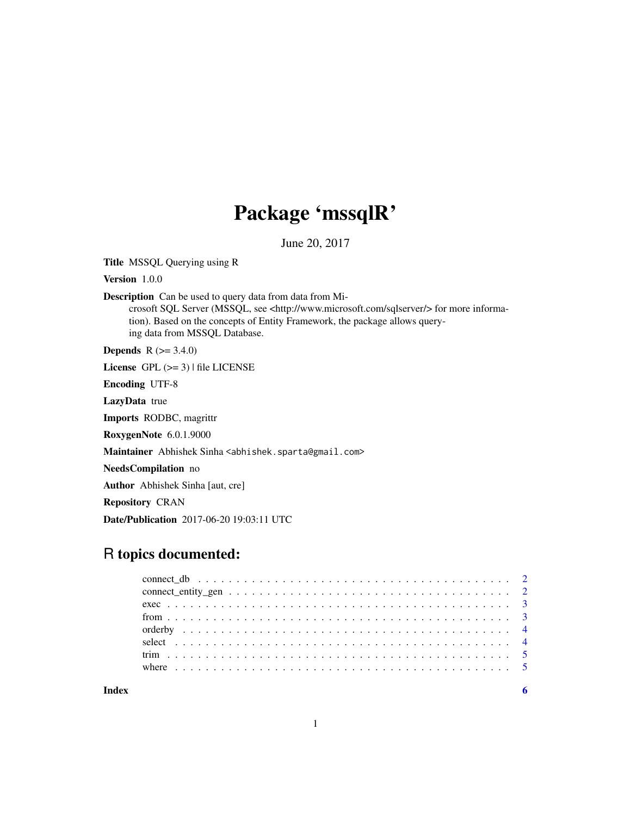## Package 'mssqlR'

June 20, 2017

Title MSSQL Querying using R

Version 1.0.0

Description Can be used to query data from data from Mi-

crosoft SQL Server (MSSQL, see <http://www.microsoft.com/sqlserver/> for more information). Based on the concepts of Entity Framework, the package allows querying data from MSSQL Database.

**Depends** R  $(>= 3.4.0)$ 

License GPL  $(>= 3)$  | file LICENSE

Encoding UTF-8

LazyData true

Imports RODBC, magrittr

RoxygenNote 6.0.1.9000

Maintainer Abhishek Sinha <abhishek.sparta@gmail.com>

NeedsCompilation no

Author Abhishek Sinha [aut, cre]

Repository CRAN

Date/Publication 2017-06-20 19:03:11 UTC

### R topics documented: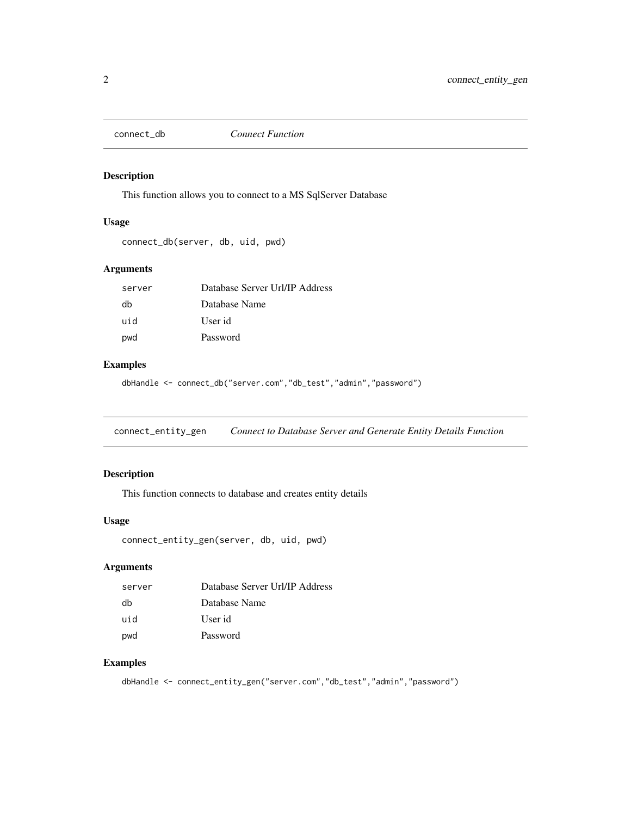<span id="page-1-0"></span>

This function allows you to connect to a MS SqlServer Database

#### Usage

```
connect_db(server, db, uid, pwd)
```
#### Arguments

| server | Database Server Url/IP Address |
|--------|--------------------------------|
| dh     | Database Name                  |
| uid    | User id                        |
| pwd    | Password                       |

#### Examples

dbHandle <- connect\_db("server.com","db\_test","admin","password")

connect\_entity\_gen *Connect to Database Server and Generate Entity Details Function*

#### Description

This function connects to database and creates entity details

#### Usage

```
connect_entity_gen(server, db, uid, pwd)
```
#### Arguments

| server | Database Server Url/IP Address |
|--------|--------------------------------|
| db     | Database Name                  |
| uid    | User id                        |
| pwd    | Password                       |

#### Examples

dbHandle <- connect\_entity\_gen("server.com","db\_test","admin","password")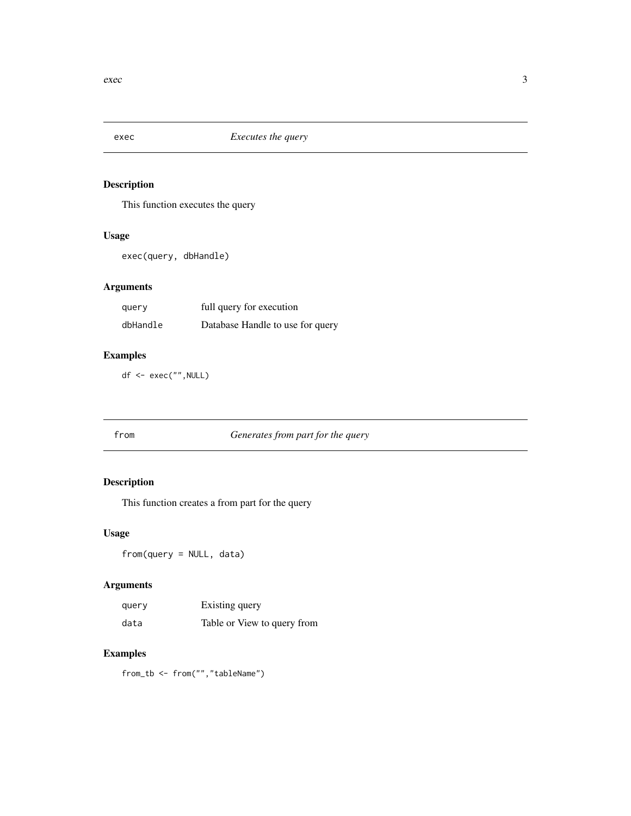<span id="page-2-0"></span>

This function executes the query

#### Usage

exec(query, dbHandle)

#### Arguments

| query    | full query for execution         |
|----------|----------------------------------|
| dbHandle | Database Handle to use for query |

#### Examples

df <- exec("",NULL)

#### from *Generates from part for the query*

#### Description

This function creates a from part for the query

#### Usage

from(query = NULL, data)

#### Arguments

| query | Existing query              |
|-------|-----------------------------|
| data  | Table or View to query from |

#### Examples

from\_tb <- from("","tableName")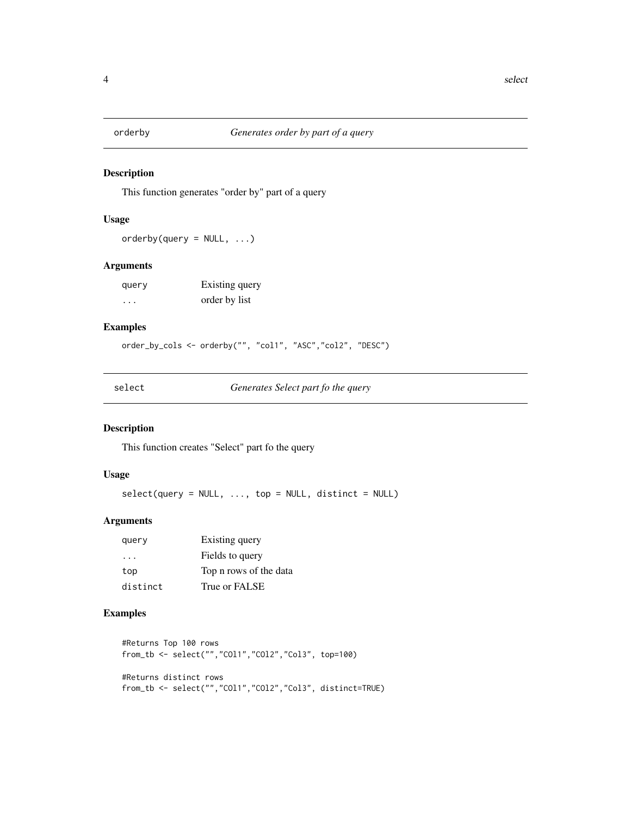<span id="page-3-0"></span>

This function generates "order by" part of a query

#### Usage

 $orderby(query = NULL, ...)$ 

#### Arguments

| query   | Existing query |
|---------|----------------|
| $\cdot$ | order by list  |

#### Examples

order\_by\_cols <- orderby("", "col1", "ASC","col2", "DESC")

select *Generates Select part fo the query*

#### Description

This function creates "Select" part fo the query

#### Usage

 $select(query = NULL, ..., top = NULL, distinct = NULL)$ 

#### Arguments

| query    | Existing query         |
|----------|------------------------|
| .        | Fields to query        |
| top      | Top n rows of the data |
| distinct | True or FALSE          |

#### Examples

```
#Returns Top 100 rows
from_tb <- select("","COl1","COl2","Col3", top=100)
#Returns distinct rows
from_tb <- select("","COl1","COl2","Col3", distinct=TRUE)
```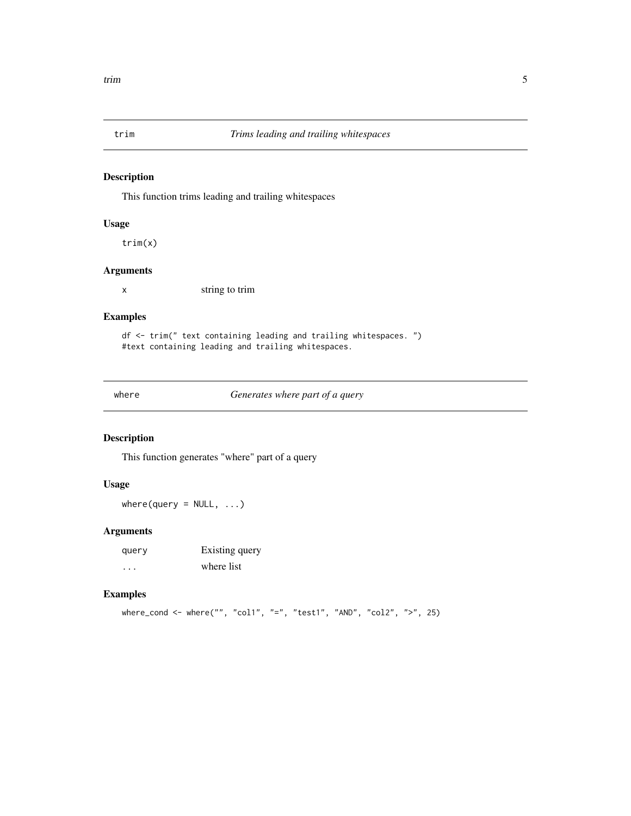<span id="page-4-0"></span>

This function trims leading and trailing whitespaces

#### Usage

trim(x)

#### Arguments

x string to trim

#### Examples

df <- trim(" text containing leading and trailing whitespaces. ") #text containing leading and trailing whitespaces.

where *Generates where part of a query*

#### Description

This function generates "where" part of a query

#### Usage

 $where(query = NULL, ...)$ 

#### Arguments

| query    | Existing query |
|----------|----------------|
| $\cdots$ | where list     |

#### Examples

where\_cond <- where("", "col1", "=", "test1", "AND", "col2", ">", 25)